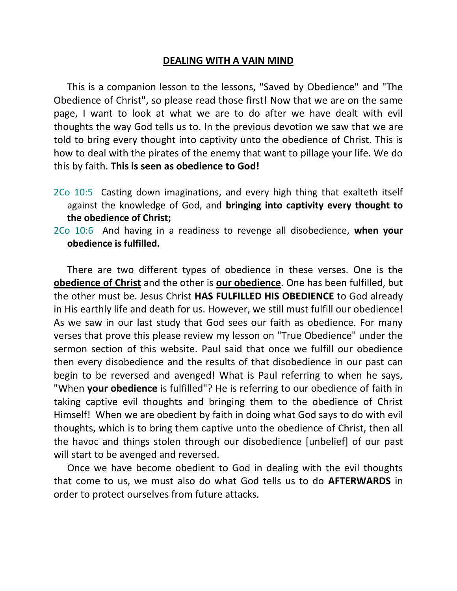## **DEALING WITH A VAIN MIND**

This is a companion lesson to the lessons, "Saved by Obedience" and "The Obedience of Christ", so please read those first! Now that we are on the same page, I want to look at what we are to do after we have dealt with evil thoughts the way God tells us to. In the previous devotion we saw that we are told to bring every thought into captivity unto the obedience of Christ. This is how to deal with the pirates of the enemy that want to pillage your life. We do this by faith. **This is seen as obedience to God!**

- 2Co 10:5 Casting down imaginations, and every high thing that exalteth itself against the knowledge of God, and **bringing into captivity every thought to the obedience of Christ;**
- 2Co 10:6 And having in a readiness to revenge all disobedience, **when your obedience is fulfilled.**

There are two different types of obedience in these verses. One is the **obedience of Christ** and the other is **our obedience**. One has been fulfilled, but the other must be. Jesus Christ **HAS FULFILLED HIS OBEDIENCE** to God already in His earthly life and death for us. However, we still must fulfill our obedience! As we saw in our last study that God sees our faith as obedience. For many verses that prove this please review my lesson on "True Obedience" under the sermon section of this website. Paul said that once we fulfill our obedience then every disobedience and the results of that disobedience in our past can begin to be reversed and avenged! What is Paul referring to when he says, "When **your obedience** is fulfilled"? He is referring to our obedience of faith in taking captive evil thoughts and bringing them to the obedience of Christ Himself! When we are obedient by faith in doing what God says to do with evil thoughts, which is to bring them captive unto the obedience of Christ, then all the havoc and things stolen through our disobedience [unbelief] of our past will start to be avenged and reversed.

Once we have become obedient to God in dealing with the evil thoughts that come to us, we must also do what God tells us to do **AFTERWARDS** in order to protect ourselves from future attacks.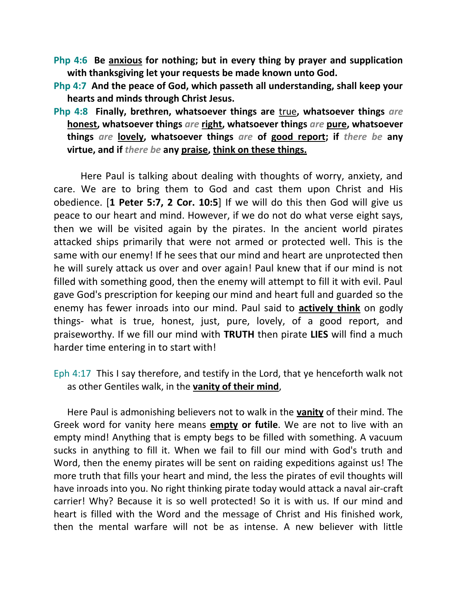- **Php 4:6 Be anxious for nothing; but in every thing by prayer and supplication with thanksgiving let your requests be made known unto God.**
- **Php 4:7 And the peace of God, which passeth all understanding, shall keep your hearts and minds through Christ Jesus.**
- **Php 4:8 Finally, brethren, whatsoever things are** true**, whatsoever things** *are* **honest, whatsoever things** *are* **right, whatsoever things** *are* **pure, whatsoever things** *are* **lovely, whatsoever things** *are* **of good report; if** *there be* **any virtue, and if** *there be* **any praise, think on these things.**

Here Paul is talking about dealing with thoughts of worry, anxiety, and care. We are to bring them to God and cast them upon Christ and His obedience. [**1 Peter 5:7, 2 Cor. 10:5**] If we will do this then God will give us peace to our heart and mind. However, if we do not do what verse eight says, then we will be visited again by the pirates. In the ancient world pirates attacked ships primarily that were not armed or protected well. This is the same with our enemy! If he sees that our mind and heart are unprotected then he will surely attack us over and over again! Paul knew that if our mind is not filled with something good, then the enemy will attempt to fill it with evil. Paul gave God's prescription for keeping our mind and heart full and guarded so the enemy has fewer inroads into our mind. Paul said to **actively think** on godly things- what is true, honest, just, pure, lovely, of a good report, and praiseworthy. If we fill our mind with **TRUTH** then pirate **LIES** will find a much harder time entering in to start with!

Eph 4:17 This I say therefore, and testify in the Lord, that ye henceforth walk not as other Gentiles walk, in the **vanity of their mind**,

Here Paul is admonishing believers not to walk in the **vanity** of their mind. The Greek word for vanity here means **empty or futile**. We are not to live with an empty mind! Anything that is empty begs to be filled with something. A vacuum sucks in anything to fill it. When we fail to fill our mind with God's truth and Word, then the enemy pirates will be sent on raiding expeditions against us! The more truth that fills your heart and mind, the less the pirates of evil thoughts will have inroads into you. No right thinking pirate today would attack a naval air-craft carrier! Why? Because it is so well protected! So it is with us. If our mind and heart is filled with the Word and the message of Christ and His finished work, then the mental warfare will not be as intense. A new believer with little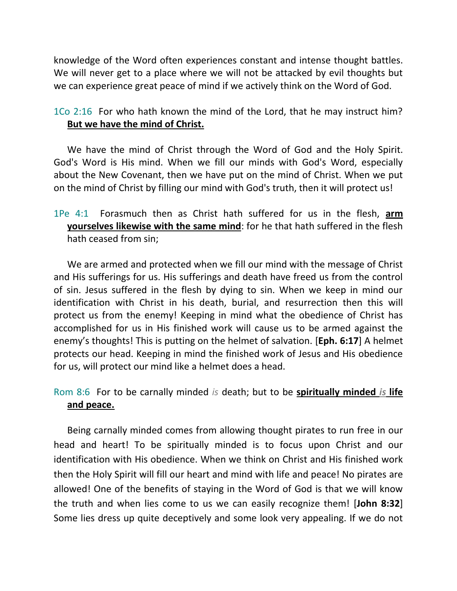knowledge of the Word often experiences constant and intense thought battles. We will never get to a place where we will not be attacked by evil thoughts but we can experience great peace of mind if we actively think on the Word of God.

1Co 2:16 For who hath known the mind of the Lord, that he may instruct him? **But we have the mind of Christ.**

We have the mind of Christ through the Word of God and the Holy Spirit. God's Word is His mind. When we fill our minds with God's Word, especially about the New Covenant, then we have put on the mind of Christ. When we put on the mind of Christ by filling our mind with God's truth, then it will protect us!

1Pe 4:1 Forasmuch then as Christ hath suffered for us in the flesh, **arm yourselves likewise with the same mind**: for he that hath suffered in the flesh hath ceased from sin;

We are armed and protected when we fill our mind with the message of Christ and His sufferings for us. His sufferings and death have freed us from the control of sin. Jesus suffered in the flesh by dying to sin. When we keep in mind our identification with Christ in his death, burial, and resurrection then this will protect us from the enemy! Keeping in mind what the obedience of Christ has accomplished for us in His finished work will cause us to be armed against the enemy's thoughts! This is putting on the helmet of salvation. [**Eph. 6:17**] A helmet protects our head. Keeping in mind the finished work of Jesus and His obedience for us, will protect our mind like a helmet does a head.

Rom 8:6 For to be carnally minded *is* death; but to be **spiritually minded** *is* **life and peace.** 

Being carnally minded comes from allowing thought pirates to run free in our head and heart! To be spiritually minded is to focus upon Christ and our identification with His obedience. When we think on Christ and His finished work then the Holy Spirit will fill our heart and mind with life and peace! No pirates are allowed! One of the benefits of staying in the Word of God is that we will know the truth and when lies come to us we can easily recognize them! [**John 8:32**] Some lies dress up quite deceptively and some look very appealing. If we do not